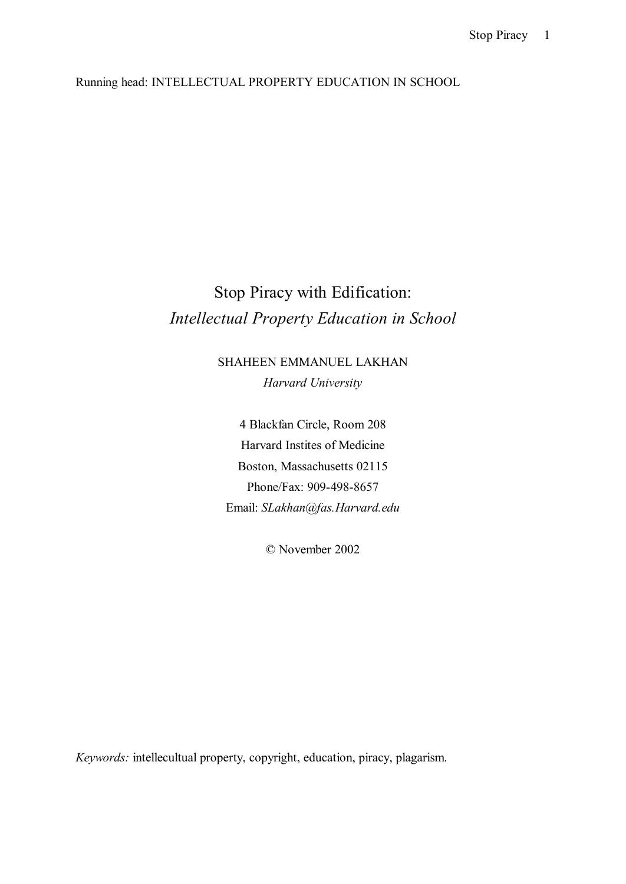Running head: INTELLECTUAL PROPERTY EDUCATION IN SCHOOL

## Stop Piracy with Edification: *Intellectual Property Education in School*

SHAHEEN EMMANUEL LAKHAN *Harvard University* 

4 Blackfan Circle, Room 208 Harvard Instites of Medicine Boston, Massachusetts 02115 Phone/Fax: 909-498-8657 Email: *SLakhan@fas.Harvard.edu* 

© November 2002

*Keywords:* intellecultual property, copyright, education, piracy, plagarism.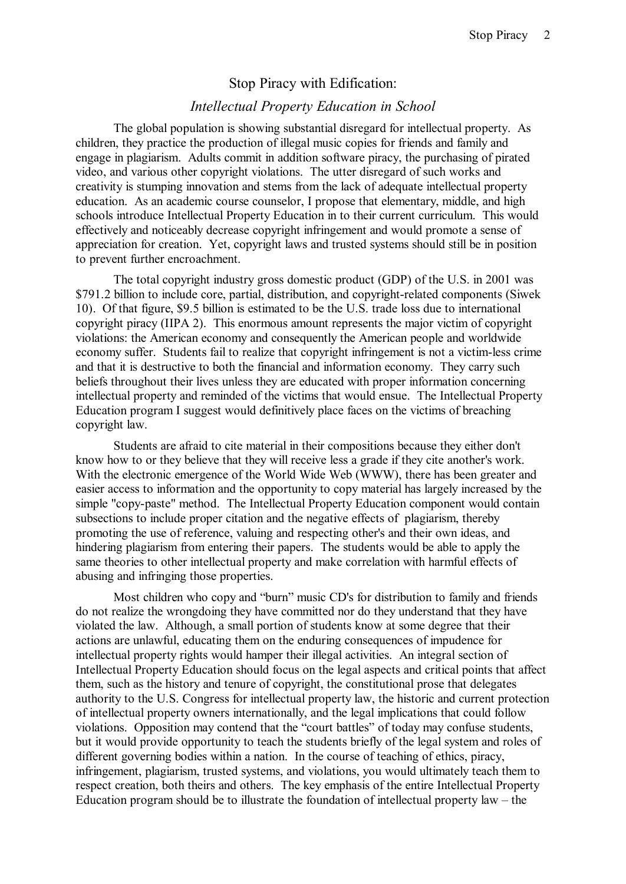## Stop Piracy with Edification:

## *Intellectual Property Education in School*

The global population is showing substantial disregard for intellectual property. As children, they practice the production of illegal music copies for friends and family and engage in plagiarism. Adults commit in addition software piracy, the purchasing of pirated video, and various other copyright violations. The utter disregard of such works and creativity is stumping innovation and stems from the lack of adequate intellectual property education. As an academic course counselor, I propose that elementary, middle, and high schools introduce Intellectual Property Education in to their current curriculum. This would effectively and noticeably decrease copyright infringement and would promote a sense of appreciation for creation. Yet, copyright laws and trusted systems should still be in position to prevent further encroachment.

The total copyright industry gross domestic product (GDP) of the U.S. in 2001 was \$791.2 billion to include core, partial, distribution, and copyright-related components (Siwek 10). Of that figure, \$9.5 billion is estimated to be the U.S. trade loss due to international copyright piracy (IIPA 2). This enormous amount represents the major victim of copyright violations: the American economy and consequently the American people and worldwide economy suffer. Students fail to realize that copyright infringement is not a victim-less crime and that it is destructive to both the financial and information economy. They carry such beliefs throughout their lives unless they are educated with proper information concerning intellectual property and reminded of the victims that would ensue. The Intellectual Property Education program I suggest would definitively place faces on the victims of breaching copyright law.

Students are afraid to cite material in their compositions because they either don't know how to or they believe that they will receive less a grade if they cite another's work. With the electronic emergence of the World Wide Web (WWW), there has been greater and easier access to information and the opportunity to copy material has largely increased by the simple "copy-paste" method. The Intellectual Property Education component would contain subsections to include proper citation and the negative effects of plagiarism, thereby promoting the use of reference, valuing and respecting other's and their own ideas, and hindering plagiarism from entering their papers. The students would be able to apply the same theories to other intellectual property and make correlation with harmful effects of abusing and infringing those properties.

Most children who copy and "burn" music CD's for distribution to family and friends do not realize the wrongdoing they have committed nor do they understand that they have violated the law. Although, a small portion of students know at some degree that their actions are unlawful, educating them on the enduring consequences of impudence for intellectual property rights would hamper their illegal activities. An integral section of Intellectual Property Education should focus on the legal aspects and critical points that affect them, such as the history and tenure of copyright, the constitutional prose that delegates authority to the U.S. Congress for intellectual property law, the historic and current protection of intellectual property owners internationally, and the legal implications that could follow violations. Opposition may contend that the "court battles" of today may confuse students, but it would provide opportunity to teach the students briefly of the legal system and roles of different governing bodies within a nation. In the course of teaching of ethics, piracy, infringement, plagiarism, trusted systems, and violations, you would ultimately teach them to respect creation, both theirs and others. The key emphasis of the entire Intellectual Property Education program should be to illustrate the foundation of intellectual property law – the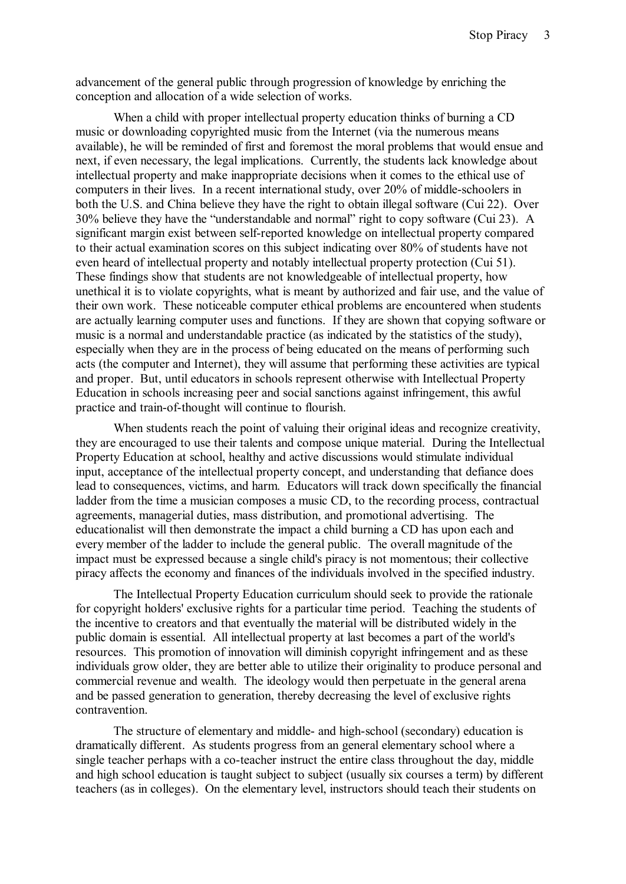advancement of the general public through progression of knowledge by enriching the conception and allocation of a wide selection of works.

When a child with proper intellectual property education thinks of burning a CD music or downloading copyrighted music from the Internet (via the numerous means available), he will be reminded of first and foremost the moral problems that would ensue and next, if even necessary, the legal implications. Currently, the students lack knowledge about intellectual property and make inappropriate decisions when it comes to the ethical use of computers in their lives. In a recent international study, over 20% of middle-schoolers in both the U.S. and China believe they have the right to obtain illegal software (Cui 22). Over 30% believe they have the "understandable and normal" right to copy software (Cui 23). A significant margin exist between self-reported knowledge on intellectual property compared to their actual examination scores on this subject indicating over 80% of students have not even heard of intellectual property and notably intellectual property protection (Cui 51). These findings show that students are not knowledgeable of intellectual property, how unethical it is to violate copyrights, what is meant by authorized and fair use, and the value of their own work. These noticeable computer ethical problems are encountered when students are actually learning computer uses and functions. If they are shown that copying software or music is a normal and understandable practice (as indicated by the statistics of the study), especially when they are in the process of being educated on the means of performing such acts (the computer and Internet), they will assume that performing these activities are typical and proper. But, until educators in schools represent otherwise with Intellectual Property Education in schools increasing peer and social sanctions against infringement, this awful practice and train-of-thought will continue to flourish.

When students reach the point of valuing their original ideas and recognize creativity, they are encouraged to use their talents and compose unique material. During the Intellectual Property Education at school, healthy and active discussions would stimulate individual input, acceptance of the intellectual property concept, and understanding that defiance does lead to consequences, victims, and harm. Educators will track down specifically the financial ladder from the time a musician composes a music CD, to the recording process, contractual agreements, managerial duties, mass distribution, and promotional advertising. The educationalist will then demonstrate the impact a child burning a CD has upon each and every member of the ladder to include the general public. The overall magnitude of the impact must be expressed because a single child's piracy is not momentous; their collective piracy affects the economy and finances of the individuals involved in the specified industry.

The Intellectual Property Education curriculum should seek to provide the rationale for copyright holders' exclusive rights for a particular time period. Teaching the students of the incentive to creators and that eventually the material will be distributed widely in the public domain is essential. All intellectual property at last becomes a part of the world's resources. This promotion of innovation will diminish copyright infringement and as these individuals grow older, they are better able to utilize their originality to produce personal and commercial revenue and wealth. The ideology would then perpetuate in the general arena and be passed generation to generation, thereby decreasing the level of exclusive rights contravention.

The structure of elementary and middle- and high-school (secondary) education is dramatically different. As students progress from an general elementary school where a single teacher perhaps with a co-teacher instruct the entire class throughout the day, middle and high school education is taught subject to subject (usually six courses a term) by different teachers (as in colleges). On the elementary level, instructors should teach their students on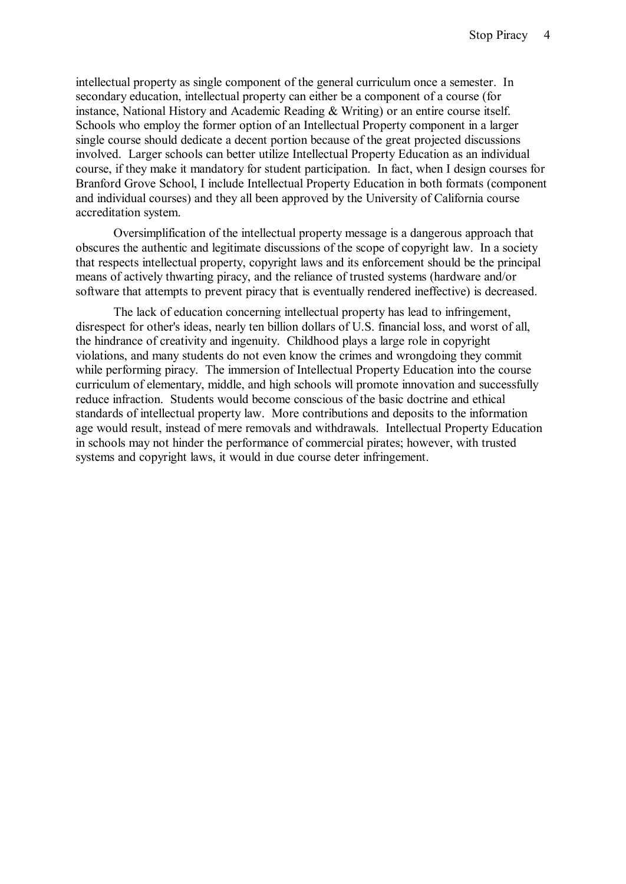intellectual property as single component of the general curriculum once a semester. In secondary education, intellectual property can either be a component of a course (for instance, National History and Academic Reading & Writing) or an entire course itself. Schools who employ the former option of an Intellectual Property component in a larger single course should dedicate a decent portion because of the great projected discussions involved. Larger schools can better utilize Intellectual Property Education as an individual course, if they make it mandatory for student participation. In fact, when I design courses for Branford Grove School, I include Intellectual Property Education in both formats (component and individual courses) and they all been approved by the University of California course accreditation system.

Oversimplification of the intellectual property message is a dangerous approach that obscures the authentic and legitimate discussions of the scope of copyright law. In a society that respects intellectual property, copyright laws and its enforcement should be the principal means of actively thwarting piracy, and the reliance of trusted systems (hardware and/or software that attempts to prevent piracy that is eventually rendered ineffective) is decreased.

The lack of education concerning intellectual property has lead to infringement, disrespect for other's ideas, nearly ten billion dollars of U.S. financial loss, and worst of all, the hindrance of creativity and ingenuity. Childhood plays a large role in copyright violations, and many students do not even know the crimes and wrongdoing they commit while performing piracy. The immersion of Intellectual Property Education into the course curriculum of elementary, middle, and high schools will promote innovation and successfully reduce infraction. Students would become conscious of the basic doctrine and ethical standards of intellectual property law. More contributions and deposits to the information age would result, instead of mere removals and withdrawals. Intellectual Property Education in schools may not hinder the performance of commercial pirates; however, with trusted systems and copyright laws, it would in due course deter infringement.